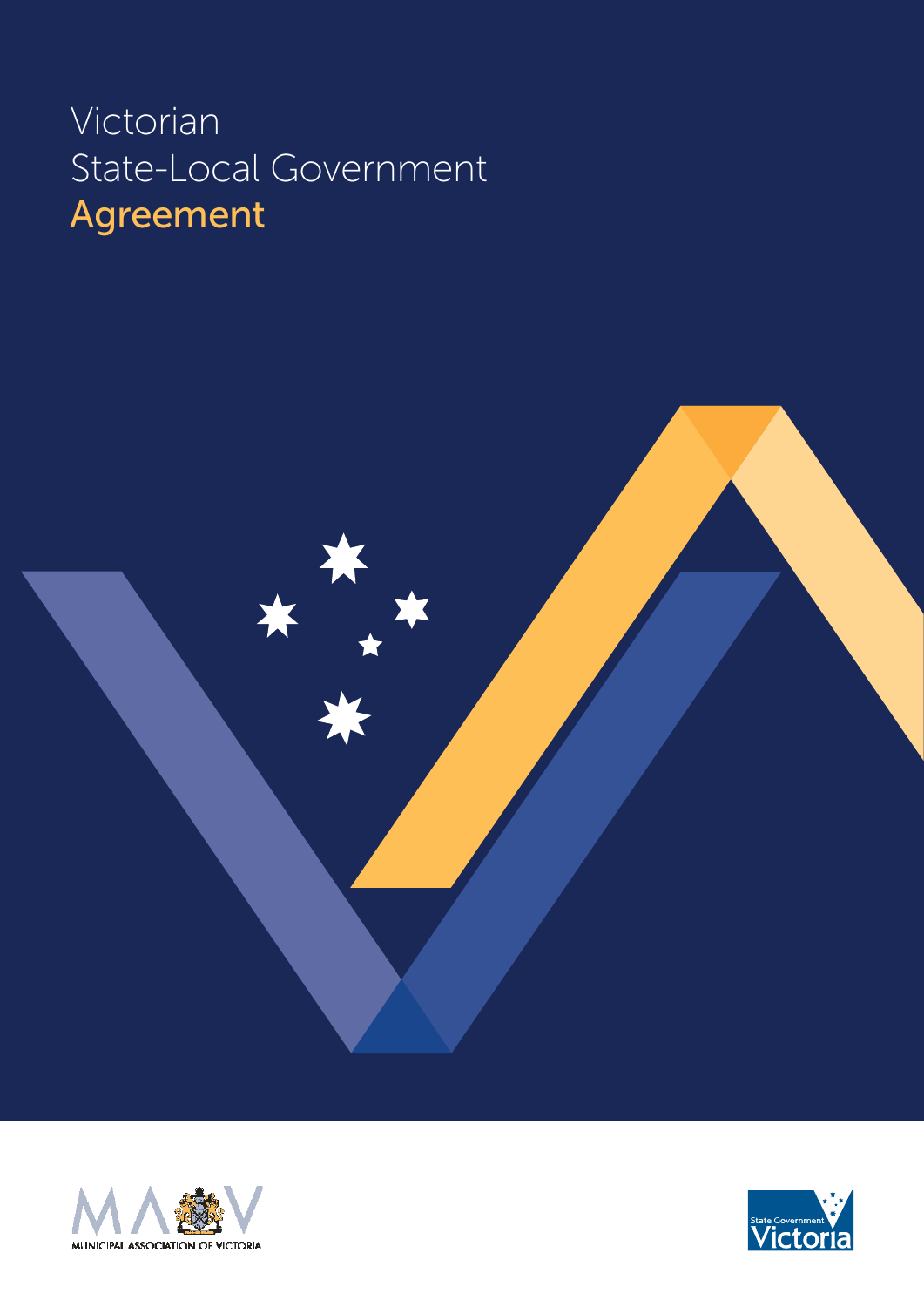### Victorian State-Local Government Agreement



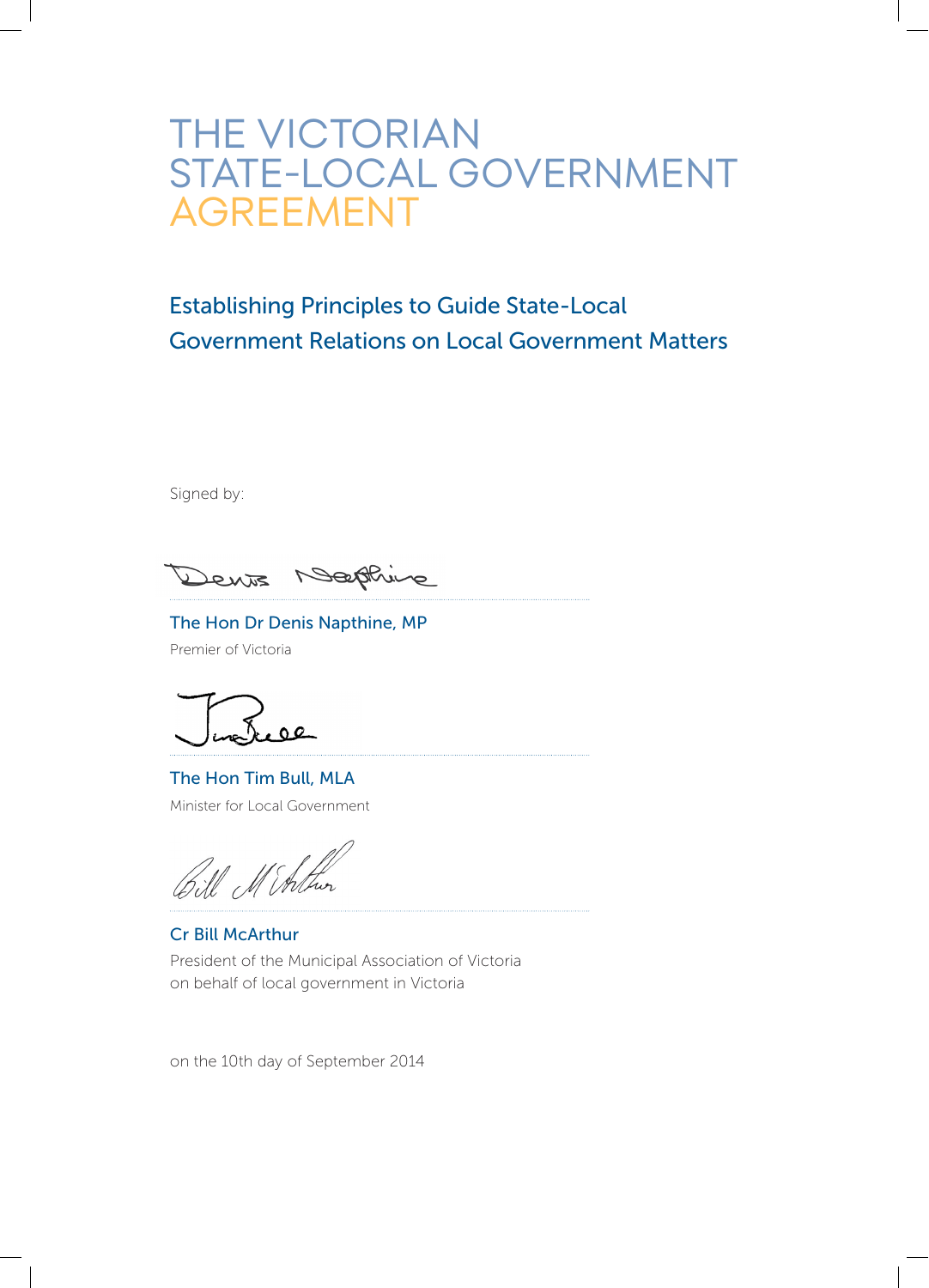### THE VICTORIAN<br>STATE-LOCAL GOVERNMENT AGREEMENT

#### Establishing Principles to Guide State-Local Government Relations on Local Government Matters

Signed by:

Bathing Dents

The Hon Dr Denis Napthine, MP Premier of Victoria

 $0Q$ 

The Hon Tim Bull, MLA Minister for Local Government

Bill Minthe

Cr Bill McArthur President of the Municipal Association of Victoria on behalf of local government in Victoria

on the 10th day of September 2014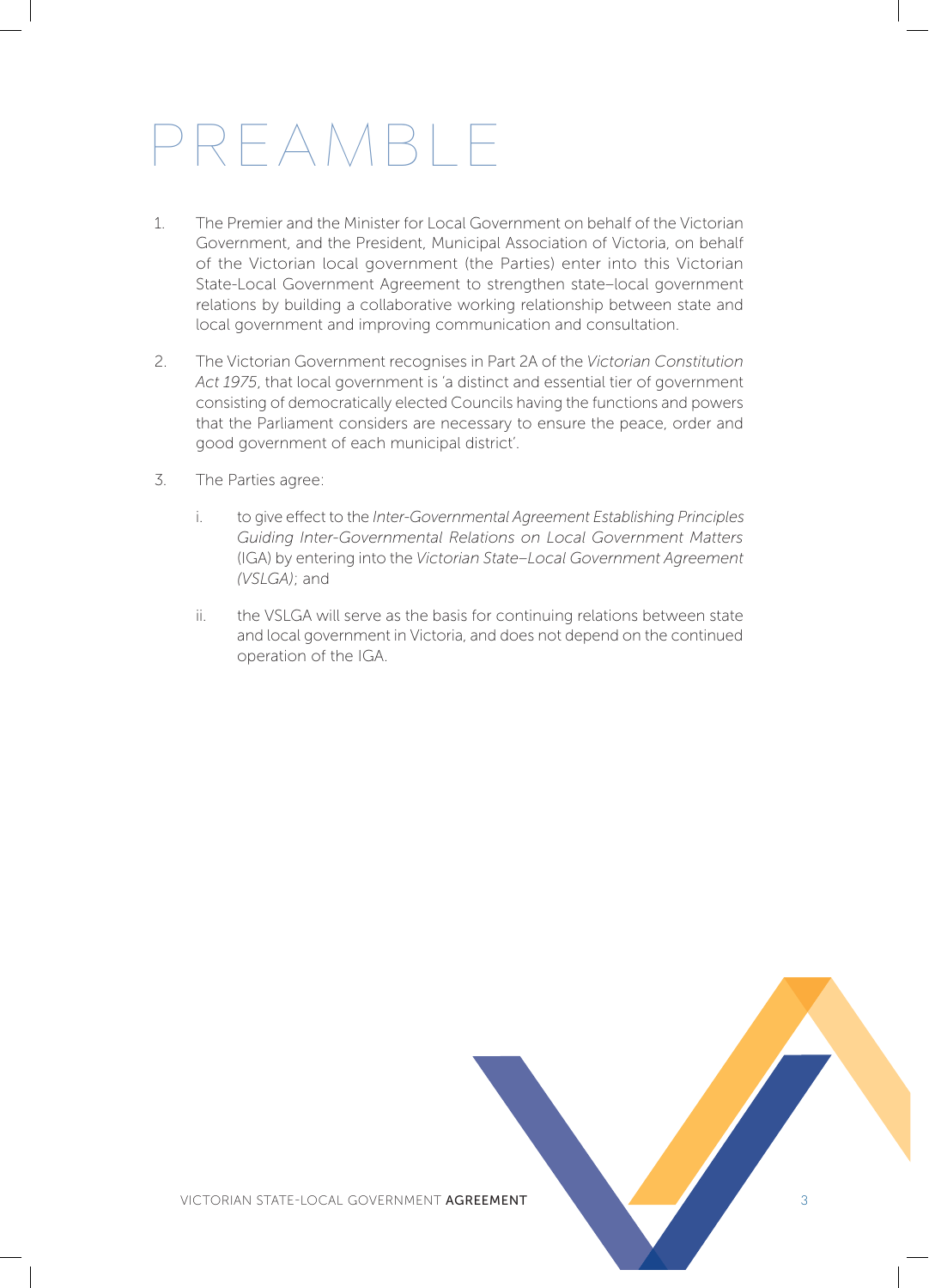## PREAMBLE

- 1. The Premier and the Minister for Local Government on behalf of the Victorian Government, and the President, Municipal Association of Victoria, on behalf of the Victorian local government (the Parties) enter into this Victorian State-Local Government Agreement to strengthen state–local government relations by building a collaborative working relationship between state and local government and improving communication and consultation.
- 2. The Victorian Government recognises in Part 2A of the *Victorian Constitution Act 1975*, that local government is 'a distinct and essential tier of government consisting of democratically elected Councils having the functions and powers that the Parliament considers are necessary to ensure the peace, order and good government of each municipal district'.
- 3. The Parties agree:
	- i. to give effect to the *Inter-Governmental Agreement Establishing Principles Guiding Inter-Governmental Relations on Local Government Matters* (IGA) by entering into the *Victorian State–Local Government Agreement (VSLGA)*; and
	- ii. the VSLGA will serve as the basis for continuing relations between state and local government in Victoria, and does not depend on the continued operation of the IGA.

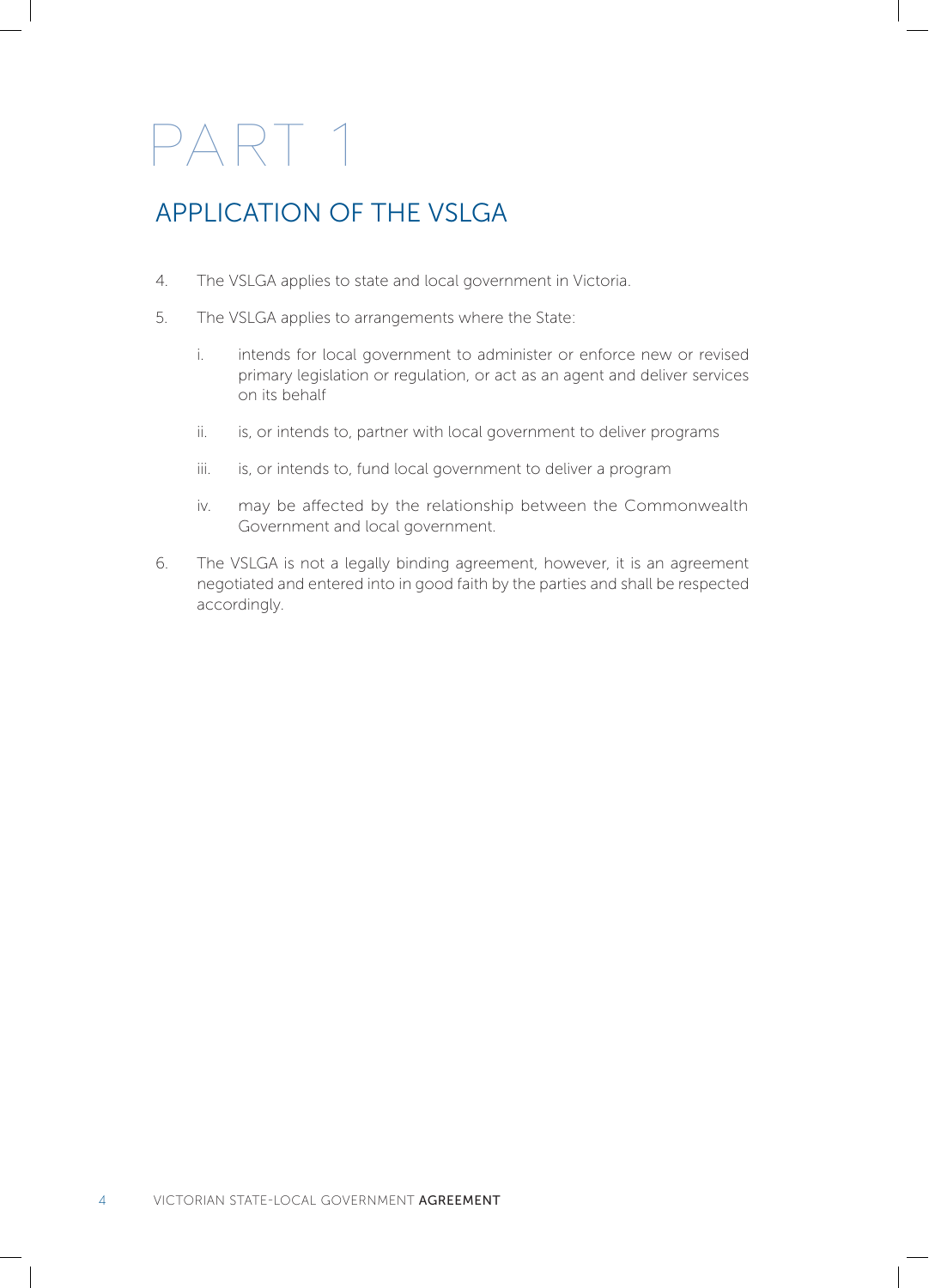#### APPLICATION OF THE VSLGA

- 4. The VSLGA applies to state and local government in Victoria.
- 5. The VSLGA applies to arrangements where the State:
	- i. intends for local government to administer or enforce new or revised primary legislation or regulation, or act as an agent and deliver services on its behalf
	- ii. is, or intends to, partner with local government to deliver programs
	- iii. is, or intends to, fund local government to deliver a program
	- iv. may be affected by the relationship between the Commonwealth Government and local government.
- 6. The VSLGA is not a legally binding agreement, however, it is an agreement negotiated and entered into in good faith by the parties and shall be respected accordingly.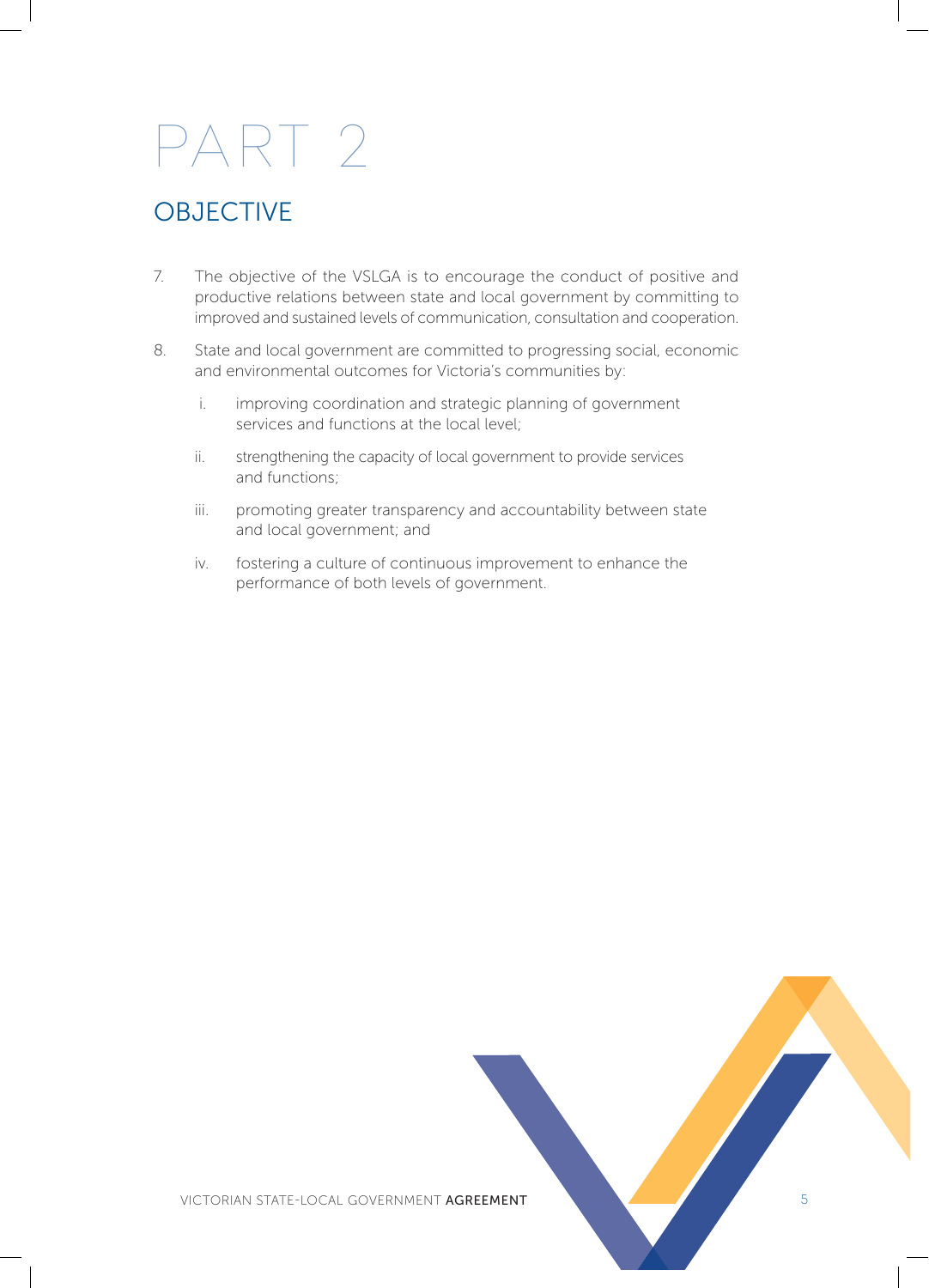#### **OBJECTIVE**

- 7. The objective of the VSLGA is to encourage the conduct of positive and productive relations between state and local government by committing to improved and sustained levels of communication, consultation and cooperation.
- 8. State and local government are committed to progressing social, economic and environmental outcomes for Victoria's communities by:
	- i. improving coordination and strategic planning of government services and functions at the local level;
	- ii. strengthening the capacity of local government to provide services and functions;
	- iii. promoting greater transparency and accountability between state and local government; and
	- iv. fostering a culture of continuous improvement to enhance the performance of both levels of government.

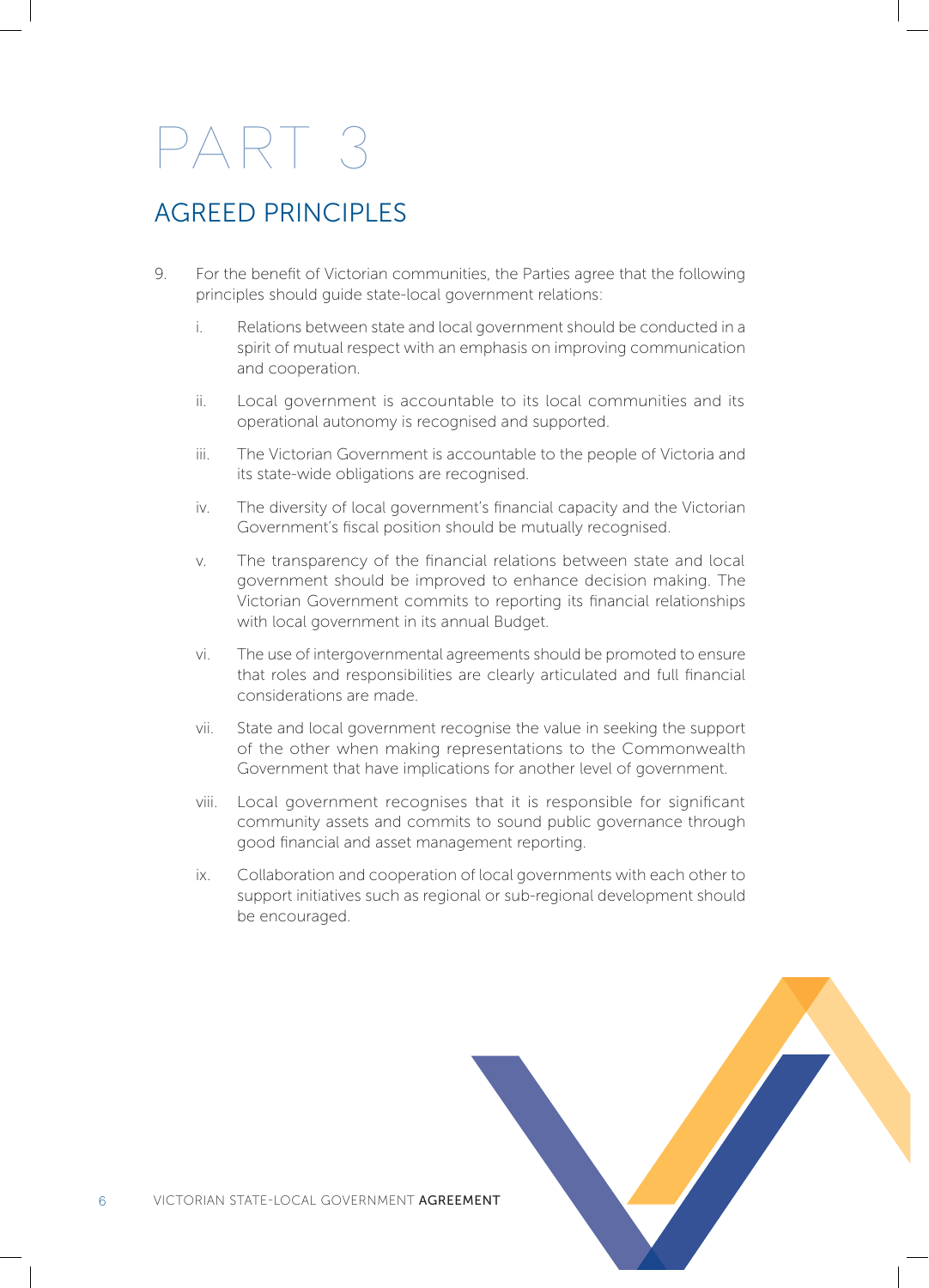#### AGREED PRINCIPLES

- 9. For the benefit of Victorian communities, the Parties agree that the following principles should guide state-local government relations:
	- i. Relations between state and local government should be conducted in a spirit of mutual respect with an emphasis on improving communication and cooperation.
	- ii. Local government is accountable to its local communities and its operational autonomy is recognised and supported.
	- iii. The Victorian Government is accountable to the people of Victoria and its state-wide obligations are recognised.
	- iv. The diversity of local government's financial capacity and the Victorian Government's fiscal position should be mutually recognised.
	- v. The transparency of the financial relations between state and local government should be improved to enhance decision making. The Victorian Government commits to reporting its financial relationships with local government in its annual Budget.
	- vi. The use of intergovernmental agreements should be promoted to ensure that roles and responsibilities are clearly articulated and full financial considerations are made.
	- vii. State and local government recognise the value in seeking the support of the other when making representations to the Commonwealth Government that have implications for another level of government.
	- viii. Local government recognises that it is responsible for significant community assets and commits to sound public governance through good financial and asset management reporting.
	- ix. Collaboration and cooperation of local governments with each other to support initiatives such as regional or sub-regional development should be encouraged.

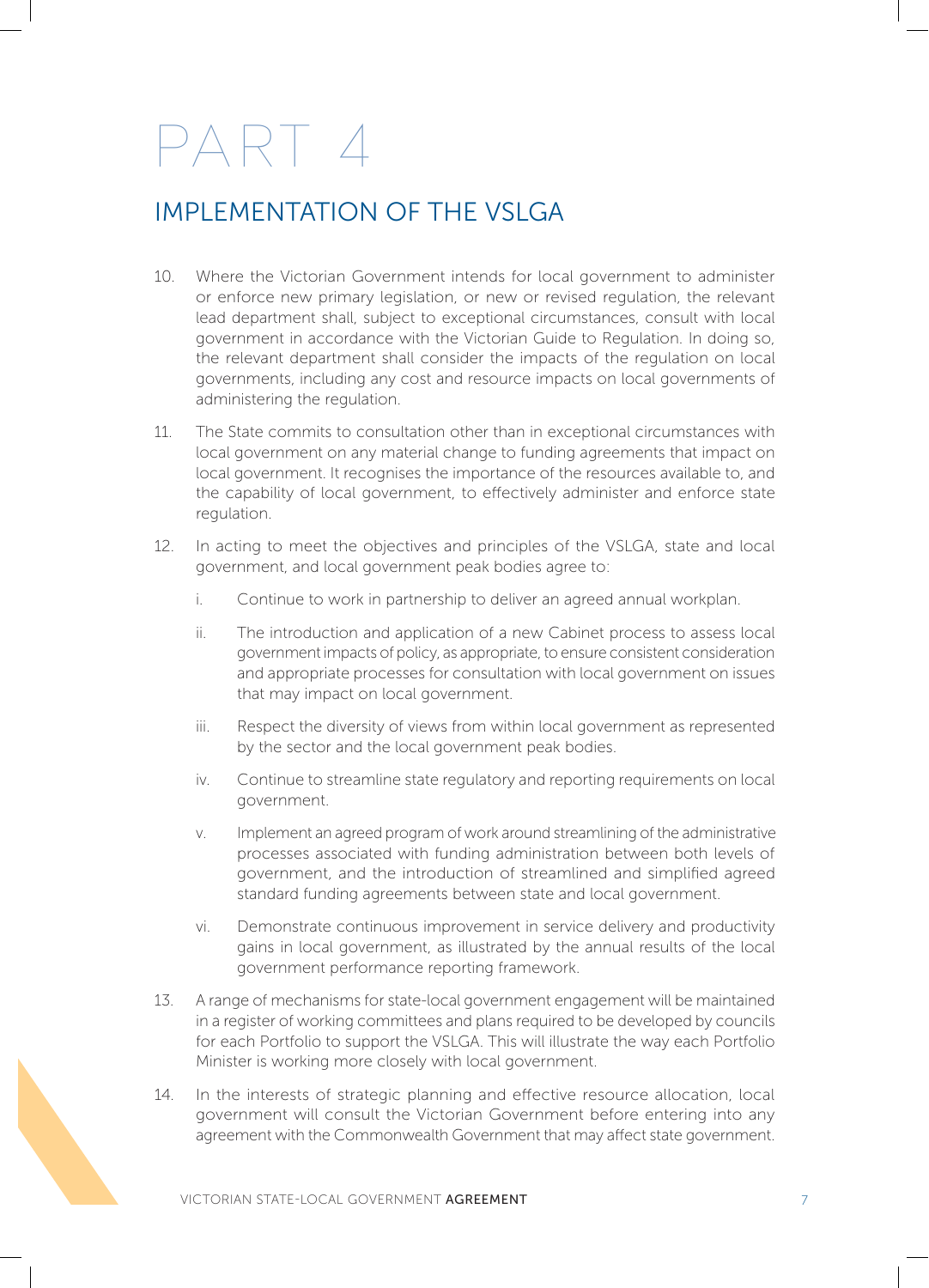#### IMPLEMENTATION OF THE VSLGA

- 10. Where the Victorian Government intends for local government to administer or enforce new primary legislation, or new or revised regulation, the relevant lead department shall, subject to exceptional circumstances, consult with local government in accordance with the Victorian Guide to Regulation. In doing so, the relevant department shall consider the impacts of the regulation on local governments, including any cost and resource impacts on local governments of administering the regulation.
- 11. The State commits to consultation other than in exceptional circumstances with local government on any material change to funding agreements that impact on local government. It recognises the importance of the resources available to, and the capability of local government, to effectively administer and enforce state regulation.
- 12. In acting to meet the objectives and principles of the VSLGA, state and local government, and local government peak bodies agree to:
	- i. Continue to work in partnership to deliver an agreed annual workplan.
	- ii. The introduction and application of a new Cabinet process to assess local government impacts of policy, as appropriate, to ensure consistent consideration and appropriate processes for consultation with local government on issues that may impact on local government.
	- iii. Respect the diversity of views from within local government as represented by the sector and the local government peak bodies.
	- iv. Continue to streamline state regulatory and reporting requirements on local government.
	- v. Implement an agreed program of work around streamlining of the administrative processes associated with funding administration between both levels of government, and the introduction of streamlined and simplified agreed standard funding agreements between state and local government.
	- vi. Demonstrate continuous improvement in service delivery and productivity gains in local government, as illustrated by the annual results of the local government performance reporting framework.
- 13. A range of mechanisms for state-local government engagement will be maintained in a register of working committees and plans required to be developed by councils for each Portfolio to support the VSLGA. This will illustrate the way each Portfolio Minister is working more closely with local government.
- 14. In the interests of strategic planning and effective resource allocation, local government will consult the Victorian Government before entering into any agreement with the Commonwealth Government that may affect state government.